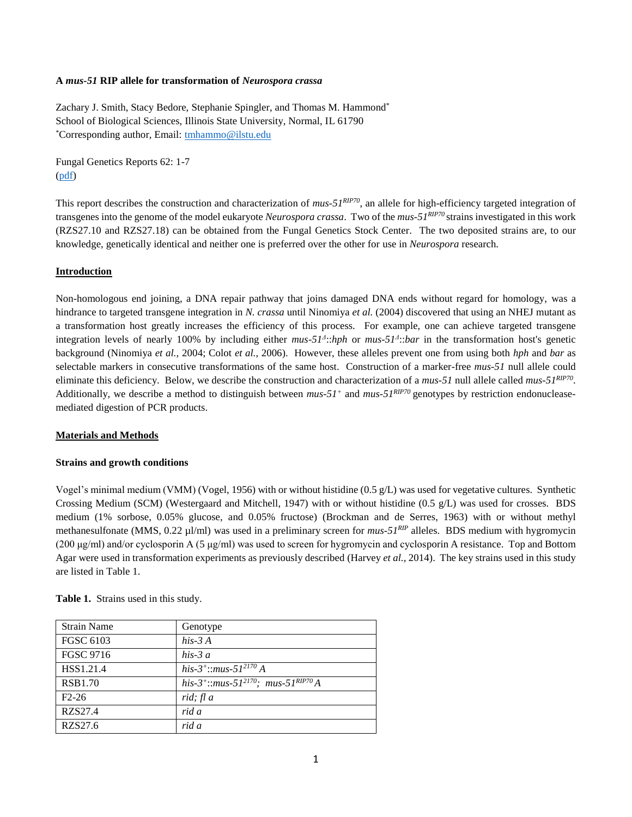### **A** *mus-51* **RIP allele for transformation of** *Neurospora crassa*

Zachary J. Smith, Stacy Bedore, Stephanie Spingler, and Thomas M. Hammond\* School of Biological Sciences, Illinois State University, Normal, IL 61790 \*Corresponding author, Email: [tmhammo@ilstu.edu](mailto:tmhammo@ilstu.edu)

Fungal Genetics Reports 62: 1-7 [\(pdf\)](FGR62_Smith.pdf)

This report describes the construction and characterization of *mus-51<sup>RIP70</sup>*, an allele for high-efficiency targeted integration of transgenes into the genome of the model eukaryote *Neurospora crassa*. Two of the *mus-51RIP70* strains investigated in this work (RZS27.10 and RZS27.18) can be obtained from the Fungal Genetics Stock Center. The two deposited strains are, to our knowledge, genetically identical and neither one is preferred over the other for use in *Neurospora* research.

### **Introduction**

Non-homologous end joining, a DNA repair pathway that joins damaged DNA ends without regard for homology, was a hindrance to targeted transgene integration in *N. crassa* until Ninomiya *et al.* (2004) discovered that using an NHEJ mutant as a transformation host greatly increases the efficiency of this process. For example, one can achieve targeted transgene integration levels of nearly 100% by including either *mus-51<sup>Δ</sup>*:*bph* or *mus-51<sup>Δ</sup>*:*bar* in the transformation host's genetic background (Ninomiya *et al.,* 2004; Colot *et al.,* 2006). However, these alleles prevent one from using both *hph* and *bar* as selectable markers in consecutive transformations of the same host. Construction of a marker-free *mus-51* null allele could eliminate this deficiency. Below, we describe the construction and characterization of a *mus-51* null allele called *mus-51RIP70* . Additionally, we describe a method to distinguish between *mus-51<sup>+</sup>* and *mus-51RIP70* genotypes by restriction endonucleasemediated digestion of PCR products.

### **Materials and Methods**

### **Strains and growth conditions**

Vogel's minimal medium (VMM) (Vogel, 1956) with or without histidine (0.5 g/L) was used for vegetative cultures. Synthetic Crossing Medium (SCM) (Westergaard and Mitchell, 1947) with or without histidine (0.5 g/L) was used for crosses. BDS medium (1% sorbose, 0.05% glucose, and 0.05% fructose) (Brockman and de Serres, 1963) with or without methyl methanesulfonate (MMS, 0.22 µl/ml) was used in a preliminary screen for *mus-51RIP* alleles. BDS medium with hygromycin (200 μg/ml) and/or cyclosporin A (5 μg/ml) was used to screen for hygromycin and cyclosporin A resistance. Top and Bottom Agar were used in transformation experiments as previously described (Harvey *et al.,* 2014). The key strains used in this study are listed in Table 1.

| <b>Strain Name</b> | Genotype                                                                |
|--------------------|-------------------------------------------------------------------------|
| FGSC 6103          | his- $3A$                                                               |
| <b>FGSC 9716</b>   | his-3 $a$                                                               |
| HSS1.21.4          | his-3 <sup>+</sup> ::mus-51 <sup>2170</sup> A                           |
| <b>RSB1.70</b>     | his-3 <sup>+</sup> ::mus-51 <sup>2170</sup> ; mus-51 <sup>RIP70</sup> A |
| $F2-26$            | rid; fl a                                                               |
| RZS27.4            | rid a                                                                   |
| RZS27.6            | rid a                                                                   |

**Table 1.** Strains used in this study.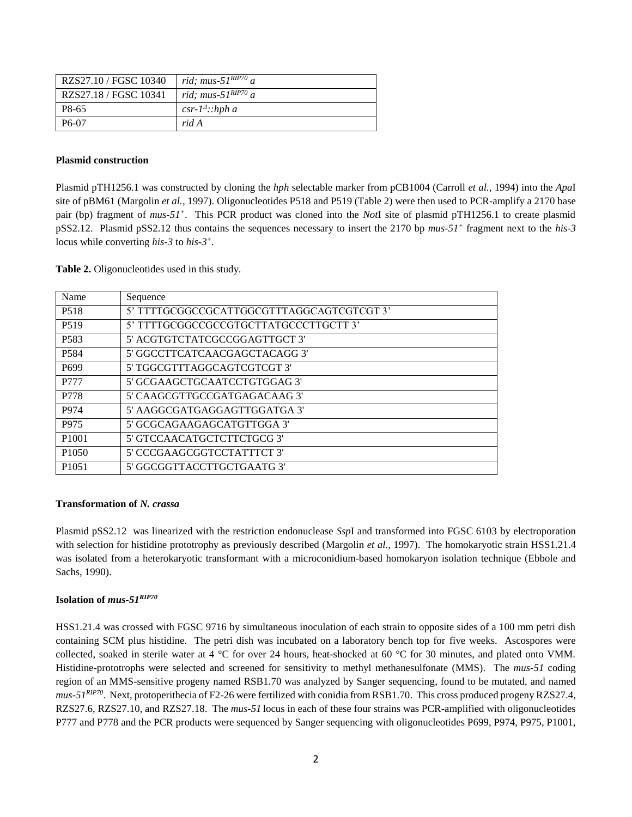| RZS27.10 / FGSC 10340 | rid; mus- $51^{RIP70}$ a |
|-----------------------|--------------------------|
| RZS27.18 / FGSC 10341 | rid; mus- $51RIP70 a$    |
| P8-65                 | $csr-1^4$ ::hph a        |
| P <sub>6</sub> -07    | rid A                    |

### **Plasmid construction**

Plasmid pTH1256.1 was constructed by cloning the *hph* selectable marker from pCB1004 (Carroll *et al.,* 1994) into the *Apa*I site of pBM61 (Margolin *et al.,* 1997). Oligonucleotides P518 and P519 (Table 2) were then used to PCR-amplify a 2170 base pair (bp) fragment of *mus-51<sup>+</sup>* . This PCR product was cloned into the *Not*I site of plasmid pTH1256.1 to create plasmid pSS2.12. Plasmid pSS2.12 thus contains the sequences necessary to insert the 2170 bp *mus-51<sup>+</sup>* fragment next to the *his-3* locus while converting *his-3* to *his-3 +* .

**Table 2.** Oligonucleotides used in this study.

| Name              | Sequence                                  |
|-------------------|-------------------------------------------|
| P <sub>5</sub> 18 | 5' TTTTGCGGCCGCATTGGCGTTTAGGCAGTCGTCGT 3' |
| P <sub>5</sub> 19 | 5' TTTTGCGGCCGCCGTGCTTATGCCCTTGCTT 3'     |
| P <sub>583</sub>  | 5' ACGTGTCTATCGCCGGAGTTGCT 3'             |
| P <sub>584</sub>  | 5' GGCCTTCATCAACGAGCTACAGG 3'             |
| P <sub>699</sub>  | 5' TGGCGTTTAGGCAGTCGTCGT 3'               |
| P777              | 5' GCGAAGCTGCAATCCTGTGGAG 3'              |
| P778              | 5' CAAGCGTTGCCGATGAGACAAG 3'              |
| P974              | 5' AAGGCGATGAGGAGTTGGATGA 3'              |
| P975              | 5' GCGCAGAAGAGCATGTTGGA 3'                |
| P <sub>1001</sub> | 5' GTCCAACATGCTCTTCTGCG 3'                |
| P <sub>1050</sub> | 5' CCCGAAGCGGTCCTATTTCT 3'                |
| P <sub>1051</sub> | 5' GGCGGTTACCTTGCTGAATG 3'                |

### **Transformation of** *N. crassa*

Plasmid pSS2.12 was linearized with the restriction endonuclease *Ssp*I and transformed into FGSC 6103 by electroporation with selection for histidine prototrophy as previously described (Margolin *et al.,* 1997). The homokaryotic strain HSS1.21.4 was isolated from a heterokaryotic transformant with a microconidium-based homokaryon isolation technique (Ebbole and Sachs, 1990).

### **Isolation of** *mus-51RIP70*

HSS1.21.4 was crossed with FGSC 9716 by simultaneous inoculation of each strain to opposite sides of a 100 mm petri dish containing SCM plus histidine. The petri dish was incubated on a laboratory bench top for five weeks. Ascospores were collected, soaked in sterile water at 4 °C for over 24 hours, heat-shocked at 60 °C for 30 minutes, and plated onto VMM. Histidine-prototrophs were selected and screened for sensitivity to methyl methanesulfonate (MMS). The *mus-51* coding region of an MMS-sensitive progeny named RSB1.70 was analyzed by Sanger sequencing, found to be mutated, and named *mus-51RIP70* . Next, protoperithecia of F2-26 were fertilized with conidia from RSB1.70. This cross produced progeny RZS27.4, RZS27.6, RZS27.10, and RZS27.18. The *mus-51* locus in each of these four strains was PCR-amplified with oligonucleotides P777 and P778 and the PCR products were sequenced by Sanger sequencing with oligonucleotides P699, P974, P975, P1001,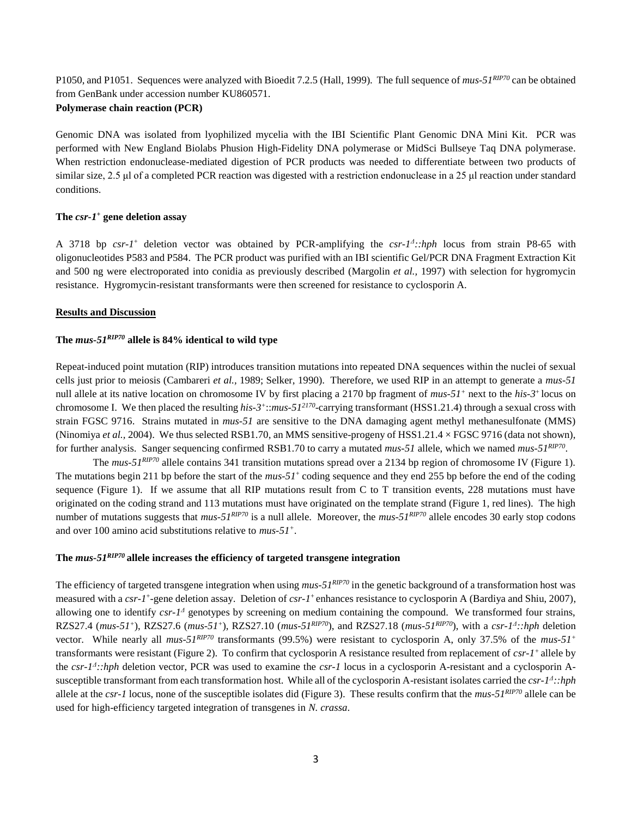P1050, and P1051. Sequences were analyzed with Bioedit 7.2.5 (Hall, 1999). The full sequence of *mus-51RIP70* can be obtained from GenBank under accession number KU860571.

# **Polymerase chain reaction (PCR)**

Genomic DNA was isolated from lyophilized mycelia with the IBI Scientific Plant Genomic DNA Mini Kit. PCR was performed with New England Biolabs Phusion High-Fidelity DNA polymerase or MidSci Bullseye Taq DNA polymerase. When restriction endonuclease-mediated digestion of PCR products was needed to differentiate between two products of similar size, 2.5 μl of a completed PCR reaction was digested with a restriction endonuclease in a 25 μl reaction under standard conditions.

### **The** *csr-1* **<sup>+</sup> gene deletion assay**

A 3718 bp  $csr-1$ <sup>+</sup> deletion vector was obtained by PCR-amplifying the  $csr-1$ <sup> $4$ </sup>::*hph* locus from strain P8-65 with oligonucleotides P583 and P584. The PCR product was purified with an IBI scientific Gel/PCR DNA Fragment Extraction Kit and 500 ng were electroporated into conidia as previously described (Margolin *et al.,* 1997) with selection for hygromycin resistance. Hygromycin-resistant transformants were then screened for resistance to cyclosporin A.

## **Results and Discussion**

# **The** *mus-51RIP70* **allele is 84% identical to wild type**

Repeat-induced point mutation (RIP) introduces transition mutations into repeated DNA sequences within the nuclei of sexual cells just prior to meiosis (Cambareri *et al.,* 1989; Selker, 1990). Therefore, we used RIP in an attempt to generate a *mus-51* null allele at its native location on chromosome IV by first placing a 2170 bp fragment of *mus-51<sup>+</sup>* next to the *his-3<sup>+</sup>* locus on chromosome I. We then placed the resulting *his-3 +* ::*mus-51<sup>2170</sup>* -carrying transformant (HSS1.21.4) through a sexual cross with strain FGSC 9716. Strains mutated in *mus-51* are sensitive to the DNA damaging agent methyl methanesulfonate (MMS) (Ninomiya *et al.,* 2004). We thus selected RSB1.70, an MMS sensitive-progeny of HSS1.21.4 × FGSC 9716 (data not shown), for further analysis. Sanger sequencing confirmed RSB1.70 to carry a mutated *mus-51* allele, which we named *mus-51RIP70* .

The *mus-51RIP70* allele contains 341 transition mutations spread over a 2134 bp region of chromosome IV (Figure 1). The mutations begin 211 bp before the start of the  $mus-51<sup>+</sup>$  coding sequence and they end 255 bp before the end of the coding sequence (Figure 1). If we assume that all RIP mutations result from C to T transition events, 228 mutations must have originated on the coding strand and 113 mutations must have originated on the template strand (Figure 1, red lines). The high number of mutations suggests that *mus-51RIP70* is a null allele. Moreover, the *mus-51RIP70* allele encodes 30 early stop codons and over 100 amino acid substitutions relative to *mus-51<sup>+</sup>* .

# **The** *mus-51RIP70* **allele increases the efficiency of targeted transgene integration**

The efficiency of targeted transgene integration when using *mus-51RIP70* in the genetic background of a transformation host was measured with a *csr-1*<sup>+</sup>-gene deletion assay. Deletion of *csr-1*<sup>+</sup> enhances resistance to cyclosporin A (Bardiya and Shiu, 2007), allowing one to identify *csr-1<sup>4</sup>* genotypes by screening on medium containing the compound. We transformed four strains, RZS27.4 ( $mus-51^+$ ), RZS27.6 ( $mus-51^+$ ), RZS27.10 ( $mus-51^{RIP70}$ ), and RZS27.18 ( $mus-51^{RIP70}$ ), with a  $csr-1^4$ :: $hph$  deletion vector. While nearly all *mus-51<sup>RIP70</sup>* transformants (99.5%) were resistant to cyclosporin A, only 37.5% of the *mus-51<sup>+</sup>* transformants were resistant (Figure 2). To confirm that cyclosporin A resistance resulted from replacement of *csr-1 <sup>+</sup>*allele by the *csr-1 Δ ::hph* deletion vector, PCR was used to examine the *csr-1* locus in a cyclosporin A-resistant and a cyclosporin Asusceptible transformant from each transformation host. While all of the cyclosporin A-resistant isolates carried the *csr-1 Δ ::hph* allele at the *csr-1* locus, none of the susceptible isolates did (Figure 3). These results confirm that the *mus-51RIP70* allele can be used for high-efficiency targeted integration of transgenes in *N. crassa*.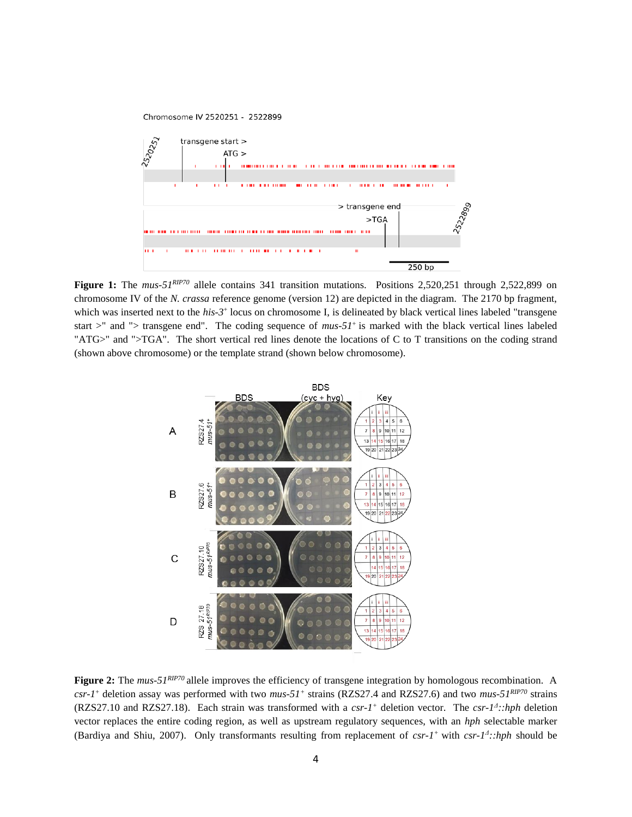

Figure 1: The *mus-51<sup>RIP70</sup>* allele contains 341 transition mutations. Positions 2,520,251 through 2,522,899 on chromosome IV of the *N. crassa* reference genome (version 12) are depicted in the diagram. The 2170 bp fragment, which was inserted next to the *his-3*<sup>+</sup> locus on chromosome I, is delineated by black vertical lines labeled "transgene start  $>$ " and " $>$  transgene end". The coding sequence of *mus-51*<sup>+</sup> is marked with the black vertical lines labeled "ATG>" and ">TGA". The short vertical red lines denote the locations of C to T transitions on the coding strand (shown above chromosome) or the template strand (shown below chromosome).



**Figure 2:** The *mus-51<sup>RIP70</sup>* allele improves the efficiency of transgene integration by homologous recombination. A *csr-1* <sup>+</sup> deletion assay was performed with two *mus-51<sup>+</sup>* strains (RZS27.4 and RZS27.6) and two *mus-51RIP70* strains (RZS27.10 and RZS27.18). Each strain was transformed with a  $csr-l^+$  deletion vector. The  $csr-l^2$ :*:hph* deletion vector replaces the entire coding region, as well as upstream regulatory sequences, with an *hph* selectable marker (Bardiya and Shiu, 2007). Only transformants resulting from replacement of  $csr-1$ <sup>+</sup> with  $csr-1$ <sup>4</sup>:*:hph* should be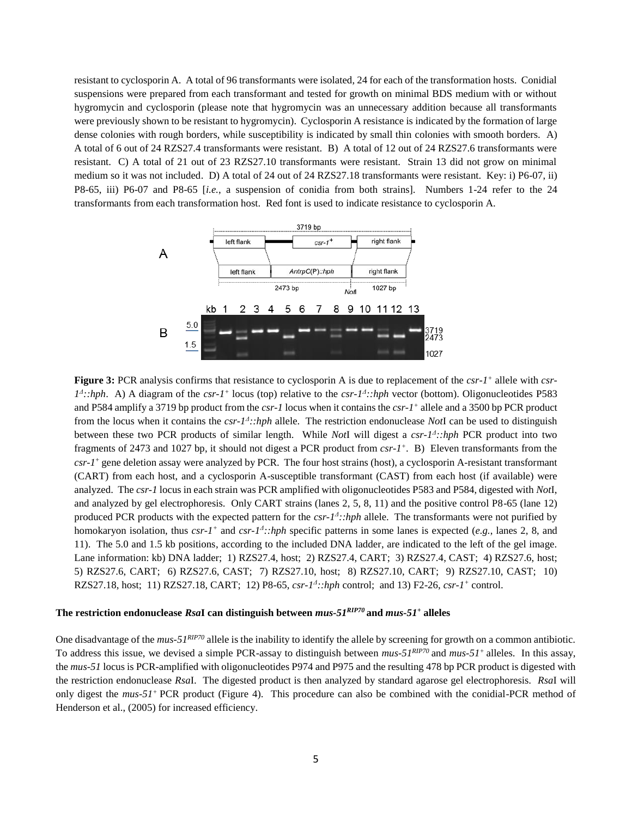resistant to cyclosporin A. A total of 96 transformants were isolated, 24 for each of the transformation hosts. Conidial suspensions were prepared from each transformant and tested for growth on minimal BDS medium with or without hygromycin and cyclosporin (please note that hygromycin was an unnecessary addition because all transformants were previously shown to be resistant to hygromycin). Cyclosporin A resistance is indicated by the formation of large dense colonies with rough borders, while susceptibility is indicated by small thin colonies with smooth borders. A) A total of 6 out of 24 RZS27.4 transformants were resistant. B) A total of 12 out of 24 RZS27.6 transformants were resistant. C) A total of 21 out of 23 RZS27.10 transformants were resistant. Strain 13 did not grow on minimal medium so it was not included. D) A total of 24 out of 24 RZS27.18 transformants were resistant. Key: i) P6-07, ii) P8-65, iii) P6-07 and P8-65 [*i.e.*, a suspension of conidia from both strains]. Numbers 1-24 refer to the 24 transformants from each transformation host. Red font is used to indicate resistance to cyclosporin A.



**Figure 3:** PCR analysis confirms that resistance to cyclosporin A is due to replacement of the *csr-1 +* allele with *csr-* $1^4$ ::hph. A) A diagram of the *csr-1*<sup>+</sup> locus (top) relative to the *csr-1*<sup>4</sup>::hph vector (bottom). Oligonucleotides P583 and P584 amplify a 3719 bp product from the *csr-1* locus when it contains the *csr-1 +* allele and a 3500 bp PCR product from the locus when it contains the *csr-1<sup>4</sup>*::*hph* allele. The restriction endonuclease *Not*I can be used to distinguish between these two PCR products of similar length. While *Not*I will digest a *csr-1<sup>1</sup>*:*hph* PCR product into two fragments of 2473 and 1027 bp, it should not digest a PCR product from  $csr-l^+$ . B) Eleven transformants from the *csr-1* <sup>+</sup> gene deletion assay were analyzed by PCR. The four host strains (host), a cyclosporin A-resistant transformant (CART) from each host, and a cyclosporin A-susceptible transformant (CAST) from each host (if available) were analyzed. The *csr-1* locus in each strain was PCR amplified with oligonucleotides P583 and P584, digested with *Not*I, and analyzed by gel electrophoresis. Only CART strains (lanes 2, 5, 8, 11) and the positive control P8-65 (lane 12) produced PCR products with the expected pattern for the *csr-1<sup>4</sup>*::*hph* allele. The transformants were not purified by homokaryon isolation, thus  $csr-1^+$  and  $csr-1^+$ :*hph* specific patterns in some lanes is expected (*e.g.*, lanes 2, 8, and 11). The 5.0 and 1.5 kb positions, according to the included DNA ladder, are indicated to the left of the gel image. Lane information: kb) DNA ladder; 1) RZS27.4, host; 2) RZS27.4, CART; 3) RZS27.4, CAST; 4) RZS27.6, host; 5) RZS27.6, CART; 6) RZS27.6, CAST; 7) RZS27.10, host; 8) RZS27.10, CART; 9) RZS27.10, CAST; 10) RZS27.18, host; 11) RZS27.18, CART; 12) P8-65, *csr-1<sup>4</sup>*::*hph* control; and 13) F2-26, *csr-1<sup>+</sup>* control.

### **The restriction endonuclease** *Rsa***I can distinguish between** *mus-51RIP70* **and** *mus-51<sup>+</sup>* **alleles**

One disadvantage of the *mus-51RIP70* allele is the inability to identify the allele by screening for growth on a common antibiotic. To address this issue, we devised a simple PCR-assay to distinguish between  $mus-51<sup>RPP70</sup>$  and  $mus-51<sup>+</sup>$  alleles. In this assay, the *mus-51* locus is PCR-amplified with oligonucleotides P974 and P975 and the resulting 478 bp PCR product is digested with the restriction endonuclease *Rsa*I. The digested product is then analyzed by standard agarose gel electrophoresis. *Rsa*I will only digest the *mus-51<sup>+</sup>*PCR product (Figure 4). This procedure can also be combined with the conidial-PCR method of Henderson et al., (2005) for increased efficiency.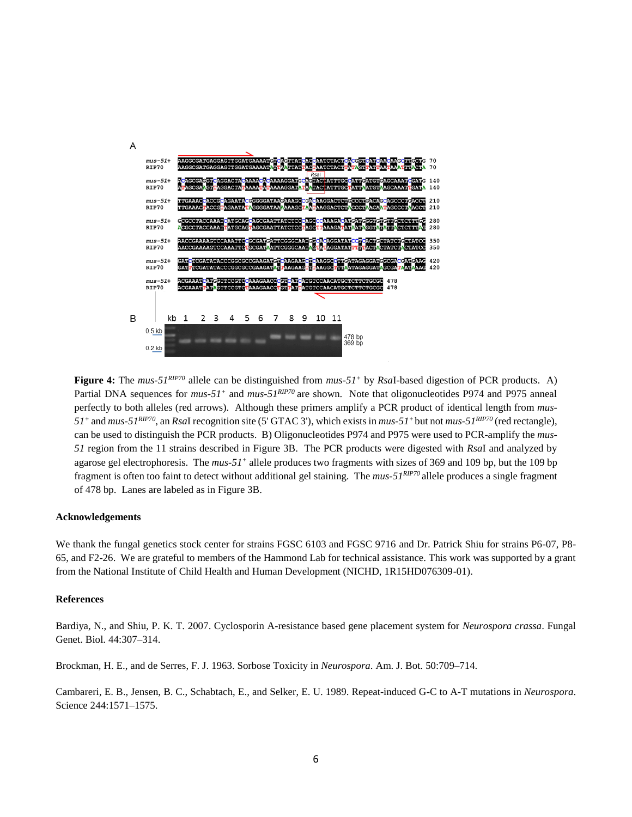

**Figure 4:** The *mus-51RIP70* allele can be distinguished from *mus-51<sup>+</sup>* by *Rsa*I-based digestion of PCR products. A) Partial DNA sequences for *mus-51<sup>+</sup>* and *mus-51<sup>RIP70</sup>* are shown. Note that oligonucleotides P974 and P975 anneal perfectly to both alleles (red arrows). Although these primers amplify a PCR product of identical length from *mus-51<sup>+</sup>* and *mus-51RIP70*, an *Rsa*I recognition site (5' GTAC 3'), which exists in *mus-51<sup>+</sup>*but not *mus-51RIP70* (red rectangle), can be used to distinguish the PCR products. B) Oligonucleotides P974 and P975 were used to PCR-amplify the *mus-51* region from the 11 strains described in Figure 3B. The PCR products were digested with *Rsa*I and analyzed by agarose gel electrophoresis. The *mus-51<sup>+</sup>* allele produces two fragments with sizes of 369 and 109 bp, but the 109 bp fragment is often too faint to detect without additional gel staining. The *mus-51RIP70* allele produces a single fragment of 478 bp. Lanes are labeled as in Figure 3B.

#### **Acknowledgements**

We thank the fungal genetics stock center for strains FGSC 6103 and FGSC 9716 and Dr. Patrick Shiu for strains P6-07, P8-65, and F2-26. We are grateful to members of the Hammond Lab for technical assistance. This work was supported by a grant from the National Institute of Child Health and Human Development (NICHD, 1R15HD076309-01).

#### **References**

Bardiya, N., and Shiu, P. K. T. 2007. Cyclosporin A-resistance based gene placement system for *Neurospora crassa*. Fungal Genet. Biol. 44:307–314.

Brockman, H. E., and de Serres, F. J. 1963. Sorbose Toxicity in *Neurospora*. Am. J. Bot. 50:709–714.

Cambareri, E. B., Jensen, B. C., Schabtach, E., and Selker, E. U. 1989. Repeat-induced G-C to A-T mutations in *Neurospora*. Science 244:1571–1575.